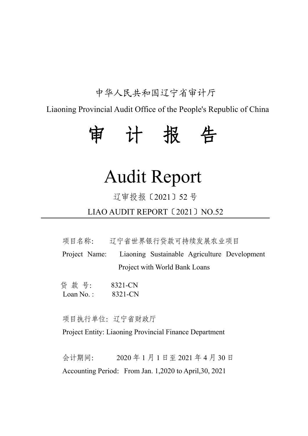## 中华人民共和国辽宁省审计厅

Liaoning Provincial Audit Office of the People's Republic of China

# 审 计 报 告

## Audit Report

## 辽审投报〔2021〕52 号

LIAO AUDIT REPORT〔2021〕NO.52

项目名称: 辽宁省世界银行贷款可持续发展农业项目

Project Name: Liaoning Sustainable Agriculture Development Project with World Bank Loans

贷 款 号: 8321-CN Loan No.: 8321-CN

项目执行单位:辽宁省财政厅

Project Entity: Liaoning Provincial Finance Department

会计期间: 2020 年 1 月 1 日至 2021 年 4 月 30 日 Accounting Period: From Jan. 1,2020 to April, 30, 2021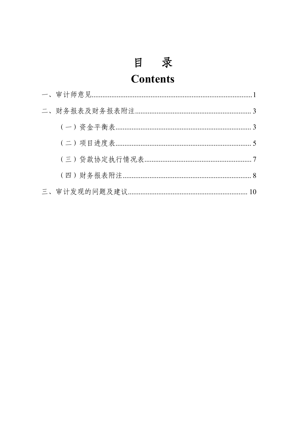## 目录 **Contents**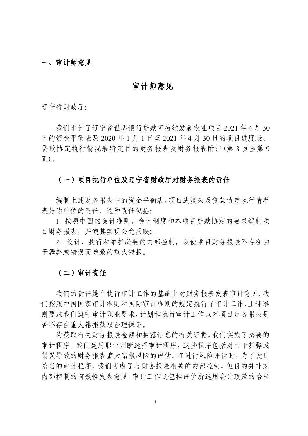#### 一、审计师意见

## 审计师意见

辽宁省财政厅:

我们审计了辽宁省世界银行贷款可持续发展农业项目 2021 年 4 月 30 日的资金平衡表及 2020 年 1 月 1 日至 2021 年 4 月 30 日的项目进度表、 贷款协定执行情况表特定目的财务报表及财务报表附注(第 3 页至第 9  $\overline{\text{p}}$ ).

#### (一)项目执行单位及辽宁省财政厅对财务报表的责任

编制上述财务报表中的资金平衡表、项目进度表及贷款协定执行情况 表是你单位的责任,这种责任包括:

1. 按照中国的会计准则、会计制度和本项目贷款协定的要求编制项 目财务报表,并使其实现公允反映;

2. 设计、执行和维护必要的内部控制,以使项目财务报表不存在由 于舞弊或错误而导致的重大错报。

## (二)审计责任

我们的责任是在执行审计工作的基础上对财务报表发表审计意见。我 们按照中国国家审计准则和国际审计准则的规定执行了审计工作,上述准 则要求我们遵守审计职业要求,计划和执行审计工作以对项目财务报表是 否不存在重大错报获取合理保证。

为获取有关财务报表金额和披露信息的有关证据,我们实施了必要的 审计程序。我们运用职业判断选择审计程序,这些程序包括对由于舞弊或 错误导致的财务报表重大错报风险的评估。在进行风险评估时,为了设计 恰当的审计程序,我们考虑了与财务报表相关的内部控制,但目的并非对 内部控制的有效性发表意见。审计工作还包括评价所选用会计政策的恰当

1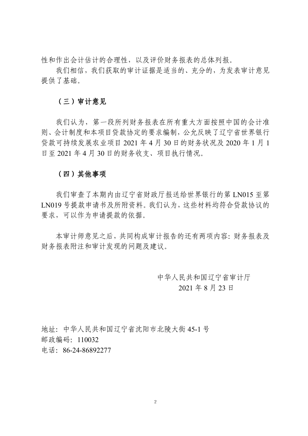性和作出会计估计的合理性,以及评价财务报表的总体列报。

我们相信,我们获取的审计证据是适当的、充分的,为发表审计意见 提供了基础。

## (三)审计意见

我们认为,第一段所列财务报表在所有重大方面按照中国的会计准 则、会计制度和本项目贷款协定的要求编制,公允反映了辽宁省世界银行 贷款可持续发展农业项目 2021 年 4 月 30 日的财务状况及 2020 年 1 月 1 日至 2021 年 4 月 30 日的财务收支、项目执行情况。

## (四)其他事项

我们审查了本期内由辽宁省财政厅报送给世界银行的第 LN015 至第 LN019 号提款申请书及所附资料。我们认为,这些材料均符合贷款协议的 要求,可以作为申请提款的依据。

本审计师意见之后,共同构成审计报告的还有两项内容:财务报表及 财务报表附注和审计发现的问题及建议。

> 中华人民共和国辽宁省审计厅 2021 年 8 月 23 日

地址:中华人民共和国辽宁省沈阳市北陵大街 45-1 号 邮政编码:110032 电话:86-24-86892277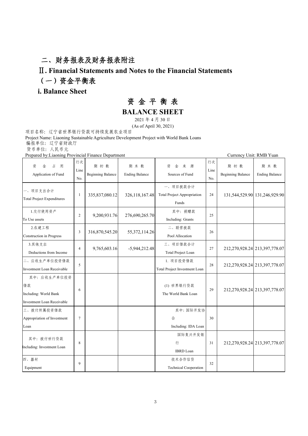## 二、财务报表及财务报表附注

## Ⅱ**. Financial Statements and Notes to the Financial Statements** (一)资金平衡表

## **i. Balance Sheet**

## 资 金 平 衡 表

**BALANCE SHEET**

2021 年 4 月 30 日

(As of April 30, 2021)

项目名称:辽宁省世界银行贷款可持续发展农业项目

Project Name: Liaoning Sustainable Agriculture Development Project with World Bank Loans 编报单位: 辽宁省财政厅

货币单位: 人民币元

Prepared by:Liaoning Provincial Finance Department Currency Unit: RMB Yuan

| 占<br>资<br>金<br>用<br>Application of Fund                                   | 行次<br>Line<br>No. | 期初数<br><b>Beginning Balance</b> | 期末数<br><b>Ending Balance</b> | 来<br>资<br>金<br>源<br>Sources of Fund                     | 行次<br>Line<br>No. | 期初数<br><b>Beginning Balance</b>   | 期末数<br><b>Ending Balance</b> |
|---------------------------------------------------------------------------|-------------------|---------------------------------|------------------------------|---------------------------------------------------------|-------------------|-----------------------------------|------------------------------|
| 一、项目支出合计<br>Total Project Expenditures                                    | -1                | 335,837,080.12                  | 326, 118, 167. 48            | 一、项目拨款合计<br><b>Total Project Appropriation</b><br>Funds | 24                | 131,544,529.90 131,246,929.90     |                              |
| 1.交付使用资产<br>To Use assets                                                 | $\overline{c}$    | 9,200,931.76                    | 276,690,265.70               | 其中: 捐赠款<br>Including: Grants                            | 25                |                                   |                              |
| 2.在建工程<br>Construction in Progress                                        | 3                 | 316,870,545.20                  | 55, 372, 114.26              | 二、联营拨款<br>Pool Allocation                               | 26                |                                   |                              |
| 3.其他支出<br>Deductions from Income                                          | $\overline{4}$    | 9,765,603.16                    | $-5,944,212.48$              | 三、项目借款合计<br>Total Project Loan                          | 27                | 212, 270, 928.24 213, 397, 778.07 |                              |
| 二、应收生产单位投资借款<br>Investment Loan Receivable                                | 5                 |                                 |                              | 1. 项目投资借款<br>Total Project Investment Loan              | 28                | 212,270,928.24 213,397,778.07     |                              |
| 其中: 应收生产单位投资<br>借款<br>Including: World Bank<br>Investment Loan Receivable | 6                 |                                 |                              | (1) 世界银行贷款<br>The World Bank Loan                       | 29                | 212, 270, 928.24 213, 397, 778.07 |                              |
| 三、拨付所属投资借款<br>Appropriation of Investment<br>Loan                         | $\tau$            |                                 |                              | 其中:国际开发协<br>会<br>Including: IDA Loan                    | 30                |                                   |                              |
| 其中: 拨付世行贷款<br>Including: Investment Loan                                  | 8                 |                                 |                              | 国际复兴开发银<br>行<br><b>IBRD</b> Loan                        | 31                | 212,270,928.24 213,397,778.07     |                              |
| 四、器材<br>Equipment                                                         | 9                 |                                 |                              | 技术合作信贷<br><b>Technical Cooperation</b>                  | 32                |                                   |                              |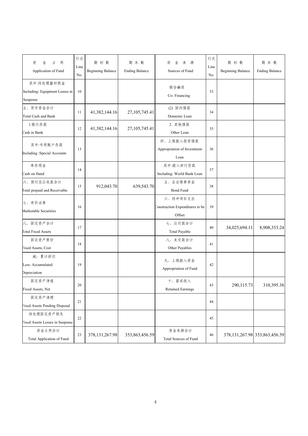| 占<br>用<br>资<br>金<br>Application of Fund                  | 行次<br>Line<br>No. | 期初数<br><b>Beginning Balance</b> | 期末数<br><b>Ending Balance</b> | 来<br>资<br>金<br>源<br>Sources of Fund                   | 行次<br>Line<br>No. | 期初数<br><b>Beginning Balance</b> | 期末数<br><b>Ending Balance</b>        |
|----------------------------------------------------------|-------------------|---------------------------------|------------------------------|-------------------------------------------------------|-------------------|---------------------------------|-------------------------------------|
| 其中:待处理器材损益<br>Including: Equipment Losses in<br>Suspense | 10                |                                 |                              | 联合融资<br>Co-Financing                                  | 33                |                                 |                                     |
| 五、货币资金合计<br>Total Cash and Bank                          | 11                | 41,382,144.16                   | 27, 105, 745.41              | (2) 国内借款<br>Domestic Loan                             | 34                |                                 |                                     |
| 1.银行存款<br>Cash in Bank                                   | 12                | 41,382,144.16                   | 27, 105, 745. 41             | 2. 其他借款<br>Other Loan                                 | 35                |                                 |                                     |
| 其中:专用账户存款<br>Including :Special Accounts                 | 13                |                                 |                              | 四、上级拨入投资借款<br>Appropriation of Investment<br>Loan     | 36                |                                 |                                     |
| 库存现金<br>Cash on Hand                                     | 14                |                                 |                              | 其中:拨入世行贷款<br>Including: World Bank Loan               | 37                |                                 |                                     |
| 六、预付及应收款合计<br><b>Total</b> prepaid and Receivable        | 15                | 912,043.70                      | 639,543.70                   | 五、企业债券资金<br><b>Bond Fund</b>                          | 38                |                                 |                                     |
| 七、有价证券<br>Marketable Securities                          | 16                |                                 |                              | 六、待冲项目支出<br>Construction Expenditures to be<br>Offset | 39                |                                 |                                     |
| 八、固定资产合计<br><b>Total Fixed Assets</b>                    | 17                |                                 |                              | 七、应付款合计<br>Total Payable                              | 40                | 34,025,694.11                   | 8,908,353.24                        |
| 固定资产原价<br>Fixed Assets, Cost                             | 18                |                                 |                              | 八、未交款合计<br>Other Payables                             | 41                |                                 |                                     |
| 减: 累计折旧<br>Less: Accumulated<br>Depreciation             | 19                |                                 |                              | 九、上级拨入资金<br>Appropriation of Fund                     | 42                |                                 |                                     |
| 固定资产净值<br>Fixed Assets, Net                              | 20                |                                 |                              | 十、留成收入<br>Retained Earnings                           | 43                | 290,115.73                      | 310,395.38                          |
| 固定资产清理<br>Fixed Assets Pending Disposal                  | 21                |                                 |                              |                                                       | 44                |                                 |                                     |
| 待处理固定资产损失<br>Fixed Assets Losses in Suspense             | 22                |                                 |                              |                                                       | 45                |                                 |                                     |
| 资金占用合计<br>Total Application of Fund                      | 23                | 378, 131, 267. 98               | 353,863,456.59               | 资金来源合计<br>Total Sources of Fund                       | 46                |                                 | 378, 131, 267. 98 353, 863, 456. 59 |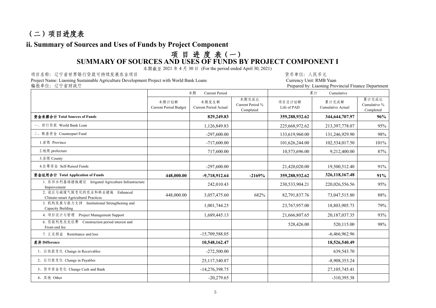## (二)项目进度表

## **ii. Summary of Sources and Uses of Funds by Project Component**

## 项 目 进 度 表(一) **SUMMARY OF SOURCES AND USES OF FUNDS BY PROJECT COMPONENT I**

本期截至 2021 年 4 月 30 日 (For the period ended April 30, 2021)

项目名称: 辽宁省世界银行贷款可持续发展农业项目<br>Project Name: Liaoning Sustainable Agriculture Development Project with World Bank Loans **Summer State of State Control**<br>Currency Unit: RMB Yuan Project Name: Liaoning Sustainable Agriculture Development Project with World Bank Loans Currency Currency Unit: RMB Yuan

| 编报单位:辽宁省财政厅                                                           |                                       |                                |                                        |                       | Prepared by: Liaoning Provincial Finance Department |                                    |  |  |
|-----------------------------------------------------------------------|---------------------------------------|--------------------------------|----------------------------------------|-----------------------|-----------------------------------------------------|------------------------------------|--|--|
|                                                                       |                                       | 本期<br>Current Period           |                                        | Cumulative<br>累计      |                                                     |                                    |  |  |
|                                                                       | 本期计划额<br><b>Current Period Budget</b> | 本期发生额<br>Current Period Actual | 本期完成比<br>Current Period %<br>Completed | 项目总计划额<br>Life of PAD | 累计完成额<br>Cumulative Actual                          | 累计完成比<br>Cumulative %<br>Completed |  |  |
| 资金来源合计 Total Sources of Funds                                         |                                       | 829,249.83                     |                                        | 359,288,932.62        | 344,644,707.97                                      | 96%                                |  |  |
| 一、世行贷款 World Bank Loan                                                |                                       | 1,126,849.83                   |                                        | 225,668,972.62        | 213,397,778.07                                      | 95%                                |  |  |
| 二、配套资金 Counterpart Fund                                               |                                       | $-297,600,00$                  |                                        | 133,619,960.00        | 131,246,929.90                                      | 98%                                |  |  |
| 1.省级 Province                                                         |                                       | $-717,600.00$                  |                                        | 101,626,244.00        | 102,534,017.50                                      | 101%                               |  |  |
| 2.地级 prefecture                                                       |                                       | 717,600.00                     |                                        | 10,573,696.00         | 9,212,400.00                                        | 87%                                |  |  |
| 3.县级 County                                                           |                                       |                                |                                        |                       |                                                     |                                    |  |  |
| 4.自筹资金 Self-Raised Funds                                              |                                       | $-297,600.00$                  |                                        | 21,420,020.00         | 19,500,512.40                                       | 91%                                |  |  |
| 资金运用合计 Total Application of Funds                                     | 448,000.00                            | $-9,718,912.64$                | $-2169%$                               | 359,288,932.62        | 326,118,167.48                                      | 91%                                |  |  |
| 1. 农田水利基础措施建设 Irrigated Agriculture Infrastructure<br>Improvement     |                                       | 242,010.43                     |                                        | 230,533,904.21        | 220,026,556.56                                      | 95%                                |  |  |
| 2. 适应与减缓气候变化的农业和林业措施 Enhanced<br>Climate-smart Agricultural Practices | 448,000.00                            | 3,057,475.60                   | 682%                                   | 82,791,837.76         | 73,047,515.80                                       | 88%                                |  |  |
| 3. 机构发展与能力支持 Institutional Strengthening and<br>Capacity Building     |                                       | 1,001,744.25                   |                                        | 23,767,957.00         | 18,803,905.73                                       | 79%                                |  |  |
| 4. 项目设计与管理 Project Management Support                                 |                                       | 1,689,445.13                   |                                        | 21,666,807.65         | 20,187,037.35                                       | 93%                                |  |  |
| 6. 贷款利息及先征费 Construction period interest and<br>Front-end fee         |                                       |                                |                                        | 528,426.00            | 520,115.00                                          | 98%                                |  |  |
| 7. 汇兑损益 Remittance and loss                                           |                                       | $-15,709,588.05$               |                                        |                       | $-6,466,962.96$                                     |                                    |  |  |
| 差异 Difference                                                         |                                       | 10,548,162.47                  |                                        |                       | 18,526,540.49                                       |                                    |  |  |
| 1、应收款变化 Change in Receivables                                         |                                       | $-272,500.00$                  |                                        |                       | 639,543.70                                          |                                    |  |  |
| 2、应付款变化 Change in Payables                                            |                                       | 25,117,340.87                  |                                        |                       | $-8,908,353.24$                                     |                                    |  |  |
| 3、货币资金变化 Change Cash and Bank                                         |                                       | $-14,276,398.75$               |                                        |                       | 27, 105, 745. 41                                    |                                    |  |  |
| 4、其他 Other                                                            |                                       | $-20,279.65$                   |                                        |                       | $-310,395.38$                                       |                                    |  |  |
|                                                                       |                                       |                                |                                        |                       |                                                     |                                    |  |  |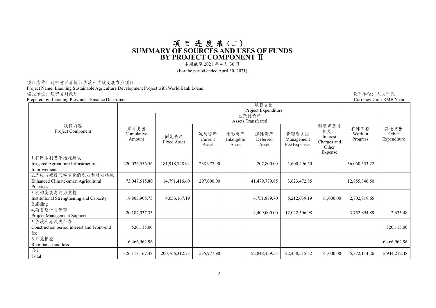#### 项 目 进 度 表(二) **SUMMARY OF SOURCES AND USES OF FUNDS BY PROJECT COMPONENT** Ⅱ

本期截至 2021 年 4 月 30 日

(For the period ended April 30, 2021)

#### 项目名称:辽宁省世界银行贷款可持续发展农业项目

Project Name: Liaoning Sustainable Agriculture Development Project with World Bank Loans 编报单位:辽宁省财政厅 货币单位:人民币元

Prepared by: Liaoning Provincial Finance Department

| гераген бу. Енабинге ттоупистан типанес Берагинент      |                              |                             |                          |                             |                           |                                     |                                                             |                             | Carlvilly Office Kivid Tuan  |  |  |  |
|---------------------------------------------------------|------------------------------|-----------------------------|--------------------------|-----------------------------|---------------------------|-------------------------------------|-------------------------------------------------------------|-----------------------------|------------------------------|--|--|--|
|                                                         |                              |                             |                          |                             | 项目支出                      |                                     |                                                             |                             |                              |  |  |  |
|                                                         | Project Expenditure          |                             |                          |                             |                           |                                     |                                                             |                             |                              |  |  |  |
|                                                         |                              | 已交付资产<br>Assets Transferred |                          |                             |                           |                                     |                                                             |                             |                              |  |  |  |
| 项目内容<br>Project Component                               | 累计支出<br>Cumulative<br>Amount | 固定资产<br><b>Fixed Asset</b>  | 流动资产<br>Current<br>Asset | 无形资产<br>Intangible<br>Asset | 递延资产<br>Deferred<br>Asset | 管理费支出<br>Management<br>Fee Expenses | 利息费及其<br>他支出<br>Interest<br>Charges and<br>Other<br>Expense | 在建工程<br>Work in<br>Progress | 其他支出<br>Other<br>Expenditure |  |  |  |
| 1.农田水利基础措施建设                                            |                              |                             |                          |                             |                           |                                     |                                                             |                             |                              |  |  |  |
| Irrigated Agriculture Infrastructure                    | 220,026,556.56               | 181,918,728.94              | 238,977.90               |                             | 207,800.00                | 1,600,496.50                        |                                                             | 36,060,553.22               |                              |  |  |  |
| Improvement                                             |                              |                             |                          |                             |                           |                                     |                                                             |                             |                              |  |  |  |
| 2.适应与减缓气候变化的农业和林业措施                                     |                              |                             |                          |                             |                           |                                     |                                                             |                             |                              |  |  |  |
| Enhanced Climate-smart Agricultural                     | 73,047,515.80                | 14,791,416.60               | 297,000.00               |                             | 41,479,779.85             | 3,623,472.85                        |                                                             | 12,855,846.50               |                              |  |  |  |
| Practices                                               |                              |                             |                          |                             |                           |                                     |                                                             |                             |                              |  |  |  |
| 3.机构发展与能力支持<br>Institutional Strengthening and Capacity | 18,803,905.73                | 4,056,167.19                |                          |                             | 6,751,879.70              | 5,212,039.19                        | 81,000.00                                                   | 2,702,819.65                |                              |  |  |  |
| Building                                                |                              |                             |                          |                             |                           |                                     |                                                             |                             |                              |  |  |  |
| 4.项目设计与管理                                               |                              |                             |                          |                             |                           |                                     |                                                             |                             |                              |  |  |  |
| Project Management Support                              | 20,187,037.35                |                             |                          |                             | 4,409,000.00              | 12,022,506.98                       |                                                             | 3,752,894.89                | 2,635.48                     |  |  |  |
| 5.贷款利息及先征费                                              |                              |                             |                          |                             |                           |                                     |                                                             |                             |                              |  |  |  |
| Construction period interest and Front-end              | 520,115.00                   |                             |                          |                             |                           |                                     |                                                             |                             | 520,115.00                   |  |  |  |
| fee                                                     |                              |                             |                          |                             |                           |                                     |                                                             |                             |                              |  |  |  |
| 6.汇兑损益                                                  | $-6,466,962.96$              |                             |                          |                             |                           |                                     |                                                             |                             | $-6,466,962.96$              |  |  |  |
| Remittance and loss                                     |                              |                             |                          |                             |                           |                                     |                                                             |                             |                              |  |  |  |
| 合计                                                      | 326,118,167.48               | 200, 766, 312. 73           | 535,977.90               |                             | 52,848,459.55             | 22,458,515.52                       | 81,000.00                                                   | 55, 372, 114.26             | $-5,944,212.48$              |  |  |  |
| Total                                                   |                              |                             |                          |                             |                           |                                     |                                                             |                             |                              |  |  |  |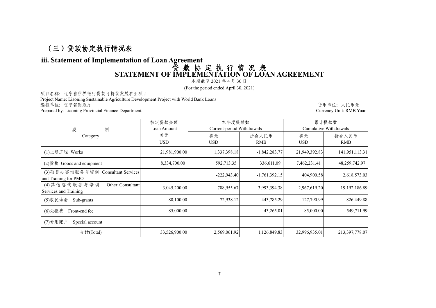## (三)贷款协定执行情况表

#### **iii. Statement of Implementation of Loan Agreement** 贷 款 协 定 执 行 情 况 表

## **STATEMENT OF IMPLEMENTATION OF LOAN AGREEMENT**

本期截至 2021 年 4 月 30 日

(For the period ended April 30, 2021)

项目名称:辽宁省世界银行贷款可持续发展农业项目

Project Name: Liaoning Sustainable Agriculture Development Project with World Bank Loans 编报单位: 辽宁省财政厅 しょうしょう しょうしょう たいしゃ こうしゃ おおや かいしゅう かんきょう しんにゅう しゅうがい しゅうかい ちょうかん ちゅうかん

Prepared by: Liaoning Provincial Finance Department Currency Unit: RMB Yuan

|                                                           | 核定贷款金额        | 本年度提款数                     |                 | 累计提款数         |                        |  |
|-----------------------------------------------------------|---------------|----------------------------|-----------------|---------------|------------------------|--|
| 类<br>别                                                    | Loan Amount   | Current-period Withdrawals |                 |               | Cumulative Withdrawals |  |
| Category                                                  | 美元            | 美元                         | 折合人民币           | 美元            | 折合人民币                  |  |
|                                                           | <b>USD</b>    | <b>USD</b>                 | RMB             | <b>USD</b>    | RMB                    |  |
| (1)土建工程 Works                                             | 21,981,900.00 | 1,337,398.18               | $-1,842,283.77$ | 21,949,392.83 | 141,951,113.31         |  |
| $(2)$ 货物 Goods and equipment                              | 8,334,700.00  | 592,713.35                 | 336,611.09      | 7,462,231.41  | 48,259,742.97          |  |
| (3)项目办咨询服务与培训 Consultant Services<br>and Training for PMO |               | $-222.943.40$              | $-1,761,392.15$ | 404,900.58    | 2,618,573.03           |  |
| (4)其他咨询服务与培训<br>Other Consultant<br>Services and Training | 3,045,200.00  | 788,955.67                 | 3,993,394.38    | 2,967,619.20  | 19, 192, 186.89        |  |
| (5) 农民协会 Sub-grants                                       | 80,100.00     | 72,938.12                  | 443,785.29      | 127,790.99    | 826,449.88             |  |
| (6)先征费<br>Front-end fee                                   | 85,000.00     |                            | $-43,265.01$    | 85,000.00     | 549,711.99             |  |
| (7)专用账户<br>Special account                                |               |                            |                 |               |                        |  |
| 合计(Total)                                                 | 33,526,900.00 | 2,569,061.92               | 1,126,849.83    | 32,996,935.01 | 213,397,778.07         |  |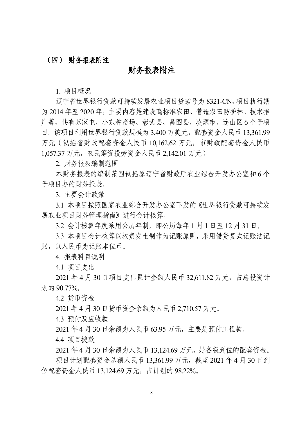### (四) 财务报表附注

## 财务报表附注

1. 项目概况

辽宁省世界银行贷款可持续发展农业项目贷款号为 8321-CN,项目执行期 为2014 年至2020 年,主要内容是建设高标准农田、营造农田防护林、技术推 广等,共有苏家屯、小东种畜场、彰武县、昌图县、凌源市、连山区 6 个子项 目。该项目利用世界银行贷款规模为3,400 万美元,配套资金人民币 13,361.99 万元(包括省财政配套资金人民币 10,162.62 万元,市财政配套资金人民币 1,057.37 万元,农民筹资投劳资金人民币 2,142.01 万元)。

2. 财务报表编制范围

本财务报表的编制范围包括原辽宁省财政厅农业综合开发办公室和 6 个 子项目办的财务报表。

3. 主要会计政策

3.1 本项目按照国家农业综合开发办公室下发的《世界银行贷款可持续发 展农业项目财务管理指南》进行会计核算。

3.2 会计核算年度采用公历年制,即公历每年1 月1 日至 12 月31 日。

3.3 本项目会计核算以权责发生制作为记账原则,采用借贷复式记账法记 账,以人民币为记账本位币。

4. 报表科目说明

4.1 项目支出

2021 年 4 月 30 日项目支出累计金额人民币 32,611.82 万元,占总投资计 划的90.77%。

4.2 货币资金

2021 年4 月30 日货币资金余额为人民币2,710.57 万元。

4.3 预付及应收款

2021 年4 月30 日余额为人民币63.95 万元,主要是预付工程款。

4.4 项目拨款

2021 年4 月30 日余额为人民币13,124.69 万元,是各级到位的配套资金。

项目计划配套资金总额人民币 13,361.99 万元,截至 2021 年 4 月 30 日到 位配套资金人民币13,124.69 万元,占计划的 98.22%。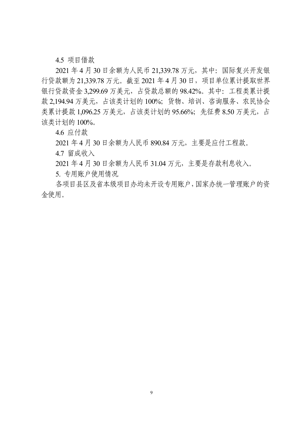4.5 项目借款

2021 年 4 月 30 日余额为人民币 21,339.78 万元,其中:国际复兴开发银 行贷款额为 21,339.78 万元。截至 2021 年 4 月 30 日,项目单位累计提取世界 银行贷款资金 3,299.69 万美元,占贷款总额的 98.42%。其中:工程类累计提 款 2,194.94 万美元, 占该类计划的 100%; 货物、培训、咨询服务、农民协会 类累计提款 1,096.25 万美元, 占该类计划的 95.66%; 先征费 8.50 万美元, 占 该类计划的100%。

4.6 应付款

2021 年4 月30 日余额为人民币890.84 万元,主要是应付工程款。

4.7 留成收入

2021 年4 月30 日余额为人民币31.04 万元,主要是存款利息收入。

5. 专用账户使用情况

各项目县区及省本级项目办均未开设专用账户,国家办统一管理账户的资 金使用。